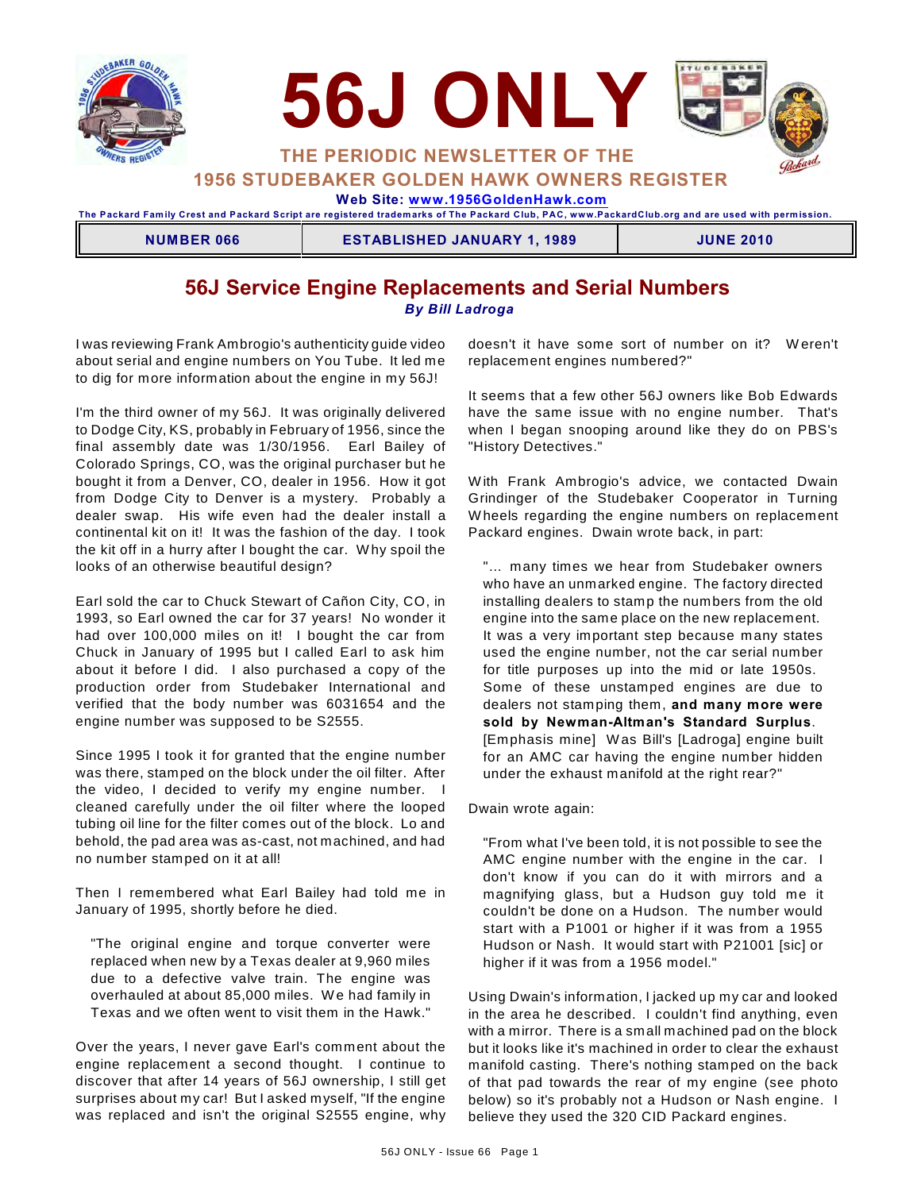



**1956 STUDEBAKER GOLDEN HAWK OWNERS REGISTER**

 **Web Site: [www.1956GoldenHawk.com](http://www.1956GoldenHawk.com)**

**The Packard Fam ily Crest and Packard Script are registered tradem arks of The Packard Club, PAC, www.PackardClub.org and are used with perm ission.** 

**NUMBER 066 ESTABLISHED JANUARY 1, 1989 JUNE 2010**

### **56J Service Engine Replacements and Serial Numbers** *By Bill Ladroga*

I was reviewing Frank Ambrogio's authenticity guide video about serial and engine numbers on You Tube. It led me to dig for more information about the engine in my 56J!

I'm the third owner of my 56J. It was originally delivered to Dodge City, KS, probably in February of 1956, since the final assembly date was 1/30/1956. Earl Bailey of Colorado Springs, CO, was the original purchaser but he bought it from a Denver, CO, dealer in 1956. How it got from Dodge City to Denver is a mystery. Probably a dealer swap. His wife even had the dealer install a continental kit on it! It was the fashion of the day. I took the kit off in a hurry after I bought the car. W hy spoil the looks of an otherwise beautiful design?

Earl sold the car to Chuck Stewart of Cañon City, CO, in 1993, so Earl owned the car for 37 years! No wonder it had over 100,000 miles on it! I bought the car from Chuck in January of 1995 but I called Earl to ask him about it before I did. I also purchased a copy of the production order from Studebaker International and verified that the body number was 6031654 and the engine number was supposed to be S2555.

Since 1995 I took it for granted that the engine number was there, stamped on the block under the oil filter. After the video, I decided to verify my engine number. I cleaned carefully under the oil filter where the looped tubing oil line for the filter comes out of the block. Lo and behold, the pad area was as-cast, not machined, and had no number stamped on it at all!

Then I remembered what Earl Bailey had told me in January of 1995, shortly before he died.

"The original engine and torque converter were replaced when new by a Texas dealer at 9,960 miles due to a defective valve train. The engine was overhauled at about 85,000 miles. W e had family in Texas and we often went to visit them in the Hawk."

Over the years, I never gave Earl's comment about the engine replacement a second thought. I continue to discover that after 14 years of 56J ownership, I still get surprises about my car! But I asked myself, "If the engine was replaced and isn't the original S2555 engine, why

doesn't it have some sort of number on it? W eren't replacement engines numbered?"

It seems that a few other 56J owners like Bob Edwards have the same issue with no engine number. That's when I began snooping around like they do on PBS's "History Detectives."

W ith Frank Ambrogio's advice, we contacted Dwain Grindinger of the Studebaker Cooperator in Turning W heels regarding the engine numbers on replacement Packard engines. Dwain wrote back, in part:

"… many times we hear from Studebaker owners who have an unmarked engine. The factory directed installing dealers to stamp the numbers from the old engine into the same place on the new replacement. It was a very important step because many states used the engine number, not the car serial number for title purposes up into the mid or late 1950s. Some of these unstamped engines are due to dealers not stamping them, **and many more were sold by Newman-Altman's Standard Surplus**. [Emphasis mine] W as Bill's [Ladroga] engine built for an AMC car having the engine number hidden under the exhaust manifold at the right rear?"

Dwain wrote again:

"From what I've been told, it is not possible to see the AMC engine number with the engine in the car. I don't know if you can do it with mirrors and a magnifying glass, but a Hudson guy told me it couldn't be done on a Hudson. The number would start with a P1001 or higher if it was from a 1955 Hudson or Nash. It would start with P21001 [sic] or higher if it was from a 1956 model."

Using Dwain's information, I jacked up my car and looked in the area he described. I couldn't find anything, even with a mirror. There is a small machined pad on the block but it looks like it's machined in order to clear the exhaust manifold casting. There's nothing stamped on the back of that pad towards the rear of my engine (see photo below) so it's probably not a Hudson or Nash engine. I believe they used the 320 CID Packard engines.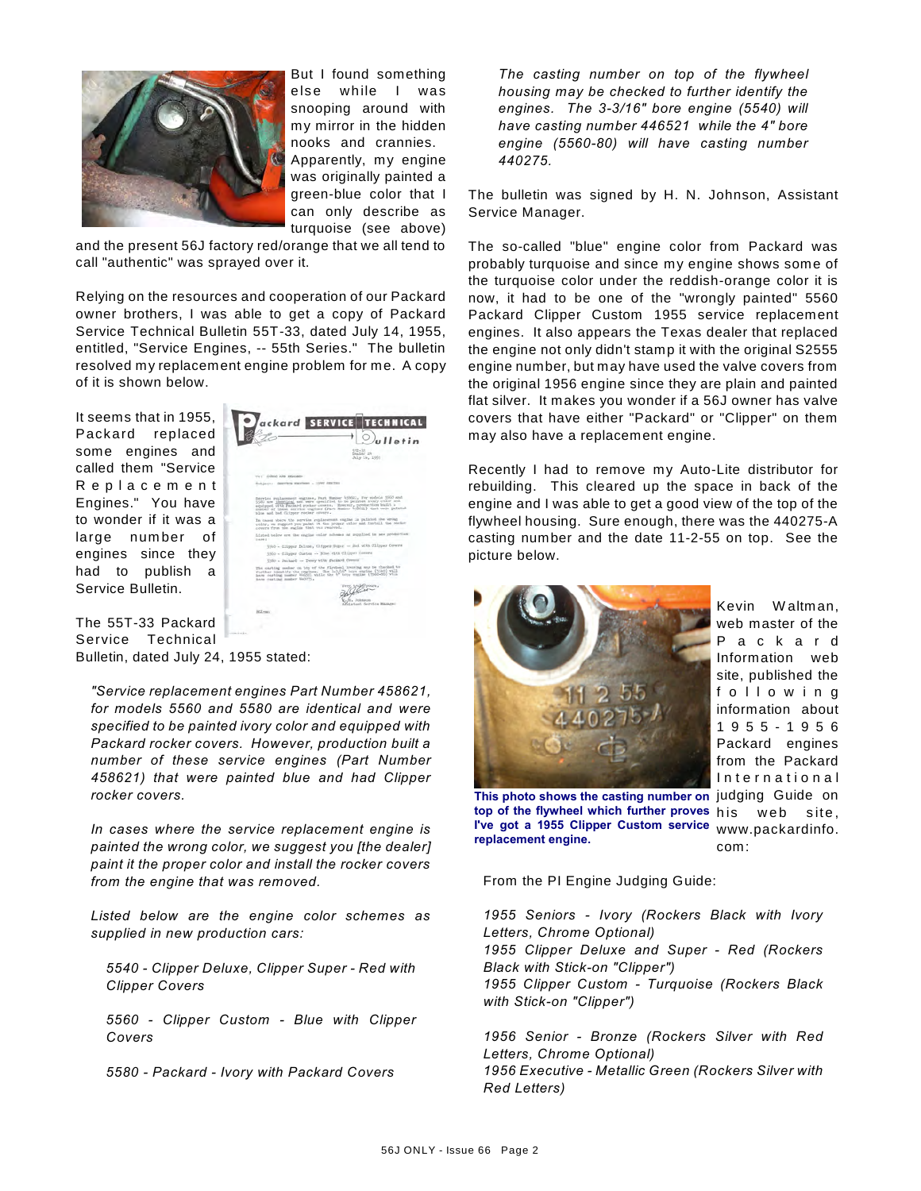

But I found something else while I was snooping around with my mirror in the hidden nooks and crannies. Apparently, my engine was originally painted a green-blue color that I can only describe as turquoise (see above)

and the present 56J factory red/orange that we all tend to call "authentic" was sprayed over it.

Relying on the resources and cooperation of our Packard owner brothers, I was able to get a copy of Packard Service Technical Bulletin 55T-33, dated July 14, 1955, entitled, "Service Engines, -- 55th Series." The bulletin resolved my replacement engine problem for me. A copy of it is shown below.

It seems that in 1955, Packard replaced some engines and called them "Service R e p l a c e m e n t Engines." You have to wonder if it was a large num ber of engines since they had to publish a Service Bulletin.

ackard SERVICE TECHNICAL  $\mathbb{D}_{\boldsymbol{\theta}}$ lletin  $\frac{552\times33}{\text{Dualer}}$  in

The 55T-33 Packard Service Technical Bulletin, dated July 24, 1955 stated:

*"Service replacement engines Part Number 458621, for models 5560 and 5580 are identical and were specified to be painted ivory color and equipped with Packard rocker covers. However, production built a number of these service engines (Part Number 458621) that were painted blue and had Clipper rocker covers.*

*In cases where the service replacement engine is painted the wrong color, we suggest you [the dealer] paint it the proper color and install the rocker covers from the engine that was removed.*

*Listed below are the engine color schemes as supplied in new production cars:*

*5540 - Clipper Deluxe, Clipper Super - Red with Clipper Covers*

*5560 - Clipper Custom - Blue with Clipper Covers*

*5580 - Packard - Ivory with Packard Covers*

*The casting number on top of the flywheel housing may be checked to further identify the engines. The 3-3/16" bore engine (5540) will have casting number 446521 while the 4" bore engine (5560-80) will have casting number 440275.*

The bulletin was signed by H. N. Johnson, Assistant Service Manager.

The so-called "blue" engine color from Packard was probably turquoise and since my engine shows some of the turquoise color under the reddish-orange color it is now, it had to be one of the "wrongly painted" 5560 Packard Clipper Custom 1955 service replacement engines. It also appears the Texas dealer that replaced the engine not only didn't stamp it with the original S2555 engine number, but may have used the valve covers from the original 1956 engine since they are plain and painted flat silver. It makes you wonder if a 56J owner has valve covers that have either "Packard" or "Clipper" on them may also have a replacement engine.

Recently I had to remove my Auto-Lite distributor for rebuilding. This cleared up the space in back of the engine and I was able to get a good view of the top of the flywheel housing. Sure enough, there was the 440275-A casting number and the date 11-2-55 on top. See the picture below.



Kevin W altm an, web master of the P a c k a r d Information web site, published the f o l l o w i n g information about 1 9 5 5 - 1 9 5 6 Packard engines from the Packard International web site, www.packardinfo.

This photo shows the casting number on judging Guide on com: **top of the flywheel which further proves I've got a 1955 Clipper Custom service replacement engine.**

From the PI Engine Judging Guide:

*1955 Seniors - Ivory (Rockers Black with Ivory Letters, Chrome Optional) 1955 Clipper Deluxe and Super - Red (Rockers Black with Stick-on "Clipper") 1955 Clipper Custom - Turquoise (Rockers Black with Stick-on "Clipper")*

*1956 Senior - Bronze (Rockers Silver with Red Letters, Chrome Optional) 1956 Executive - Metallic Green (Rockers Silver with Red Letters)*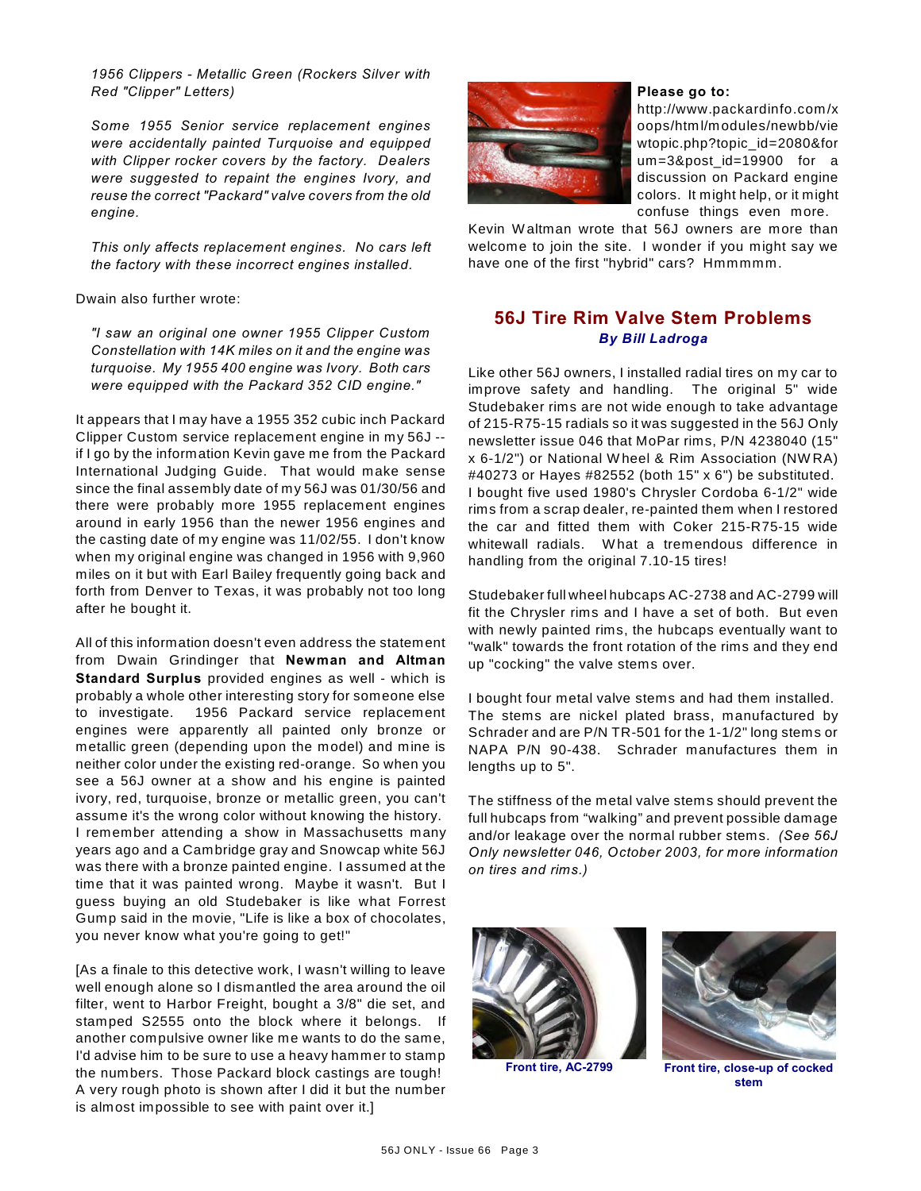*1956 Clippers - Metallic Green (Rockers Silver with Red "Clipper" Letters)*

*Some 1955 Senior service replacement engines were accidentally painted Turquoise and equipped with Clipper rocker covers by the factory. Dealers were suggested to repaint the engines Ivory, and reuse the correct "Packard" valve covers from the old engine.*

*This only affects replacement engines. No cars left the factory with these incorrect engines installed.*

Dwain also further wrote:

*"I saw an original one owner 1955 Clipper Custom Constellation with 14K miles on it and the engine was turquoise. My 1955 400 engine was Ivory. Both cars were equipped with the Packard 352 CID engine."*

It appears that I may have a 1955 352 cubic inch Packard Clipper Custom service replacement engine in my 56J - if I go by the information Kevin gave me from the Packard International Judging Guide. That would make sense since the final assembly date of my 56J was 01/30/56 and there were probably more 1955 replacement engines around in early 1956 than the newer 1956 engines and the casting date of my engine was 11/02/55. I don't know when my original engine was changed in 1956 with 9,960 miles on it but with Earl Bailey frequently going back and forth from Denver to Texas, it was probably not too long after he bought it.

All of this information doesn't even address the statement from Dwain Grindinger that **Newman and Altman Standard Surplus** provided engines as well - which is probably a whole other interesting story for someone else to investigate. 1956 Packard service replacement engines were apparently all painted only bronze or metallic green (depending upon the model) and mine is neither color under the existing red-orange. So when you see a 56J owner at a show and his engine is painted ivory, red, turquoise, bronze or metallic green, you can't assume it's the wrong color without knowing the history. I remember attending a show in Massachusetts many years ago and a Cambridge gray and Snowcap white 56J was there with a bronze painted engine. I assumed at the time that it was painted wrong. Maybe it wasn't. But I guess buying an old Studebaker is like what Forrest Gump said in the movie, "Life is like a box of chocolates, you never know what you're going to get!"

[As a finale to this detective work, I wasn't willing to leave well enough alone so I dismantled the area around the oil filter, went to Harbor Freight, bought a 3/8" die set, and stamped S2555 onto the block where it belongs. If another compulsive owner like me wants to do the same, I'd advise him to be sure to use a heavy hammer to stamp the numbers. Those Packard block castings are tough! A very rough photo is shown after I did it but the number is almost impossible to see with paint over it.]



#### **Please go to:**

http://www.packardinfo.com/x oops/html/modules/newbb/vie wtopic.php?topic\_id=2080&for um=3&post\_id=19900 for a discussion on Packard engine colors. It might help, or it might confuse things even more.

Kevin W altman wrote that 56J owners are more than welcome to join the site. I wonder if you might say we have one of the first "hybrid" cars? Hmmmmm.

### **56J Tire Rim Valve Stem Problems** *By Bill Ladroga*

Like other 56J owners, I installed radial tires on my car to improve safety and handling. The original 5" wide Studebaker rims are not wide enough to take advantage of 215-R75-15 radials so it was suggested in the 56J Only newsletter issue 046 that MoPar rims, P/N 4238040 (15" x 6-1/2") or National W heel & Rim Association (NW RA) #40273 or Hayes #82552 (both 15" x 6") be substituted. I bought five used 1980's Chrysler Cordoba 6-1/2" wide rims from a scrap dealer, re-painted them when I restored the car and fitted them with Coker 215-R75-15 wide whitewall radials. What a tremendous difference in handling from the original 7.10-15 tires!

Studebaker full wheel hubcaps AC-2738 and AC-2799 will fit the Chrysler rims and I have a set of both. But even with newly painted rims, the hubcaps eventually want to "walk" towards the front rotation of the rims and they end up "cocking" the valve stems over.

I bought four metal valve stems and had them installed. The stems are nickel plated brass, manufactured by Schrader and are P/N TR-501 for the 1-1/2" long stems or NAPA P/N 90-438. Schrader manufactures them in lengths up to 5".

The stiffness of the metal valve stems should prevent the full hubcaps from "walking" and prevent possible damage and/or leakage over the normal rubber stems. *(See 56J Only newsletter 046, October 2003, for more information on tires and rims.)*





**Front tire, AC-2799 Front tire, close-up of cocked stem**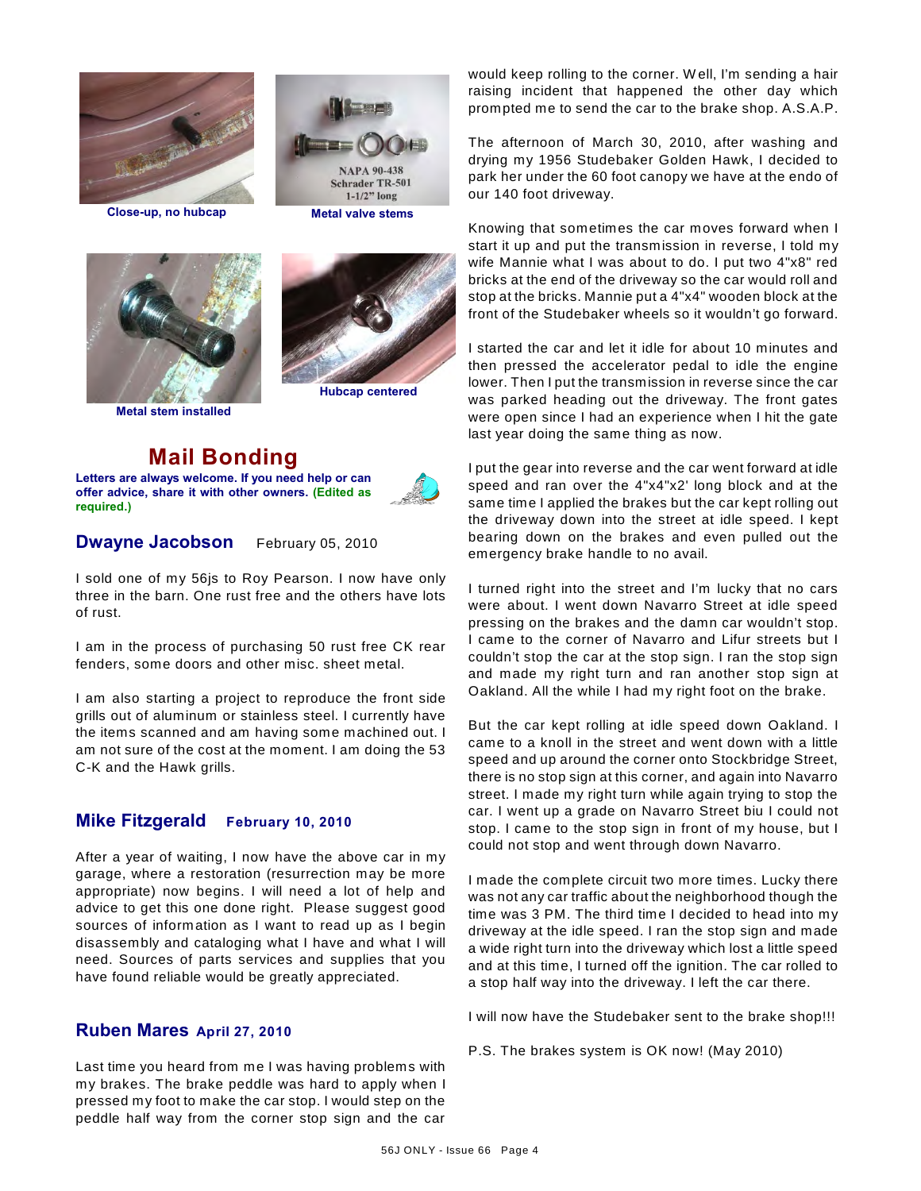







**Metal stem installed**

**Mail Bonding Letters are always welcome. If you need help or can offer advice, share it with other owners. (Edited as required.)**



### **Dwayne Jacobson** February 05, 2010

I sold one of my 56js to Roy Pearson. I now have only three in the barn. One rust free and the others have lots of rust.

I am in the process of purchasing 50 rust free CK rear fenders, some doors and other misc. sheet metal.

I am also starting a project to reproduce the front side grills out of aluminum or stainless steel. I currently have the items scanned and am having some machined out. I am not sure of the cost at the moment. I am doing the 53 C-K and the Hawk grills.

### **Mike Fitzgerald February 10, 2010**

After a year of waiting, I now have the above car in my garage, where a restoration (resurrection may be more appropriate) now begins. I will need a lot of help and advice to get this one done right. Please suggest good sources of information as I want to read up as I begin disassembly and cataloging what I have and what I will need. Sources of parts services and supplies that you have found reliable would be greatly appreciated.

### **Ruben Mares April 27, 2010**

Last time you heard from me I was having problems with my brakes. The brake peddle was hard to apply when I pressed my foot to make the car stop. I would step on the peddle half way from the corner stop sign and the car would keep rolling to the corner. W ell, I'm sending a hair raising incident that happened the other day which prompted me to send the car to the brake shop. A.S.A.P.

The afternoon of March 30, 2010, after washing and drying my 1956 Studebaker Golden Hawk, I decided to park her under the 60 foot canopy we have at the endo of our 140 foot driveway.

Knowing that sometimes the car moves forward when I start it up and put the transmission in reverse, I told my wife Mannie what I was about to do. I put two 4"x8" red bricks at the end of the driveway so the car would roll and stop at the bricks. Mannie put a 4"x4" wooden block at the front of the Studebaker wheels so it wouldn't go forward.

I started the car and let it idle for about 10 minutes and then pressed the accelerator pedal to idle the engine lower. Then I put the transmission in reverse since the car was parked heading out the driveway. The front gates were open since I had an experience when I hit the gate last year doing the same thing as now.

I put the gear into reverse and the car went forward at idle speed and ran over the 4"x4"x2' long block and at the same time I applied the brakes but the car kept rolling out the driveway down into the street at idle speed. I kept bearing down on the brakes and even pulled out the emergency brake handle to no avail.

I turned right into the street and I'm lucky that no cars were about. I went down Navarro Street at idle speed pressing on the brakes and the damn car wouldn't stop. I came to the corner of Navarro and Lifur streets but I couldn't stop the car at the stop sign. I ran the stop sign and made my right turn and ran another stop sign at Oakland. All the while I had my right foot on the brake.

But the car kept rolling at idle speed down Oakland. I came to a knoll in the street and went down with a little speed and up around the corner onto Stockbridge Street, there is no stop sign at this corner, and again into Navarro street. I made my right turn while again trying to stop the car. I went up a grade on Navarro Street biu I could not stop. I came to the stop sign in front of my house, but I could not stop and went through down Navarro.

I made the complete circuit two more times. Lucky there was not any car traffic about the neighborhood though the time was 3 PM. The third time I decided to head into my driveway at the idle speed. I ran the stop sign and made a wide right turn into the driveway which lost a little speed and at this time, I turned off the ignition. The car rolled to a stop half way into the driveway. I left the car there.

I will now have the Studebaker sent to the brake shop!!!

P.S. The brakes system is OK now! (May 2010)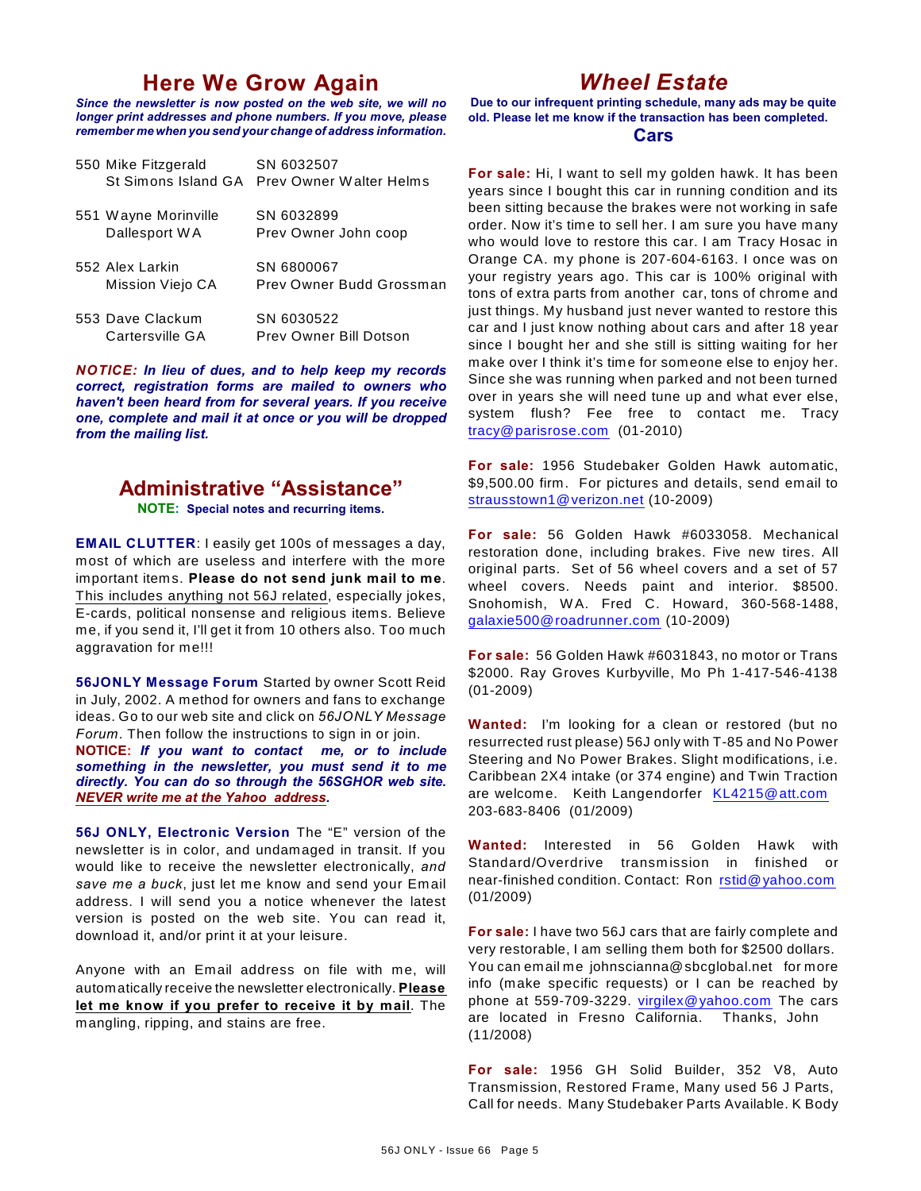## **Here We Grow Again**

*Since the newsletter is now posted on the web site, we will no longer print addresses and phone numbers. If you move, please remember me when you send your change of address information.*

| 550 Mike Fitzgerald<br>St Simons Island GA | SN 6032507<br>Prev Owner Walter Helms  |
|--------------------------------------------|----------------------------------------|
| 551 Wayne Morinville<br>Dallesport WA      | SN 6032899<br>Prev Owner John coop     |
| 552 Alex Larkin<br>Mission Viejo CA        | SN 6800067<br>Prev Owner Budd Grossman |
| 553 Dave Clackum<br>Cartersville GA        | SN 6030522<br>Prev Owner Bill Dotson   |

*NOTICE: In lieu of dues, and to help keep my records correct, registration forms are mailed to owners who haven't been heard from for several years. If you receive one, complete and mail it at once or you will be dropped from the mailing list.*

# **Administrative "Assistance"**

**NOTE: Special notes and recurring items.**

**EMAIL CLUTTER**: I easily get 100s of messages a day, most of which are useless and interfere with the more important items. **Please do not send junk mail to me**. This includes anything not 56J related, especially jokes, E-cards, political nonsense and religious items. Believe me, if you send it, I'll get it from 10 others also. Too much aggravation for me!!!

**56JONLY Message Forum** Started by owner Scott Reid in July, 2002. A method for owners and fans to exchange ideas. Go to our web site and click on *56JONLY Message Forum*. Then follow the instructions to sign in or join.

**NOTICE:** *If you want to contact me, or to include something in the newsletter, you must send it to me directly. You can do so through the 56SGHOR web site. NEVER write me at the Yahoo address.*

**56J ONLY, Electronic Version** The "E" version of the newsletter is in color, and undamaged in transit. If you would like to receive the newsletter electronically, *and save me a buck*, just let me know and send your Email address. I will send you a notice whenever the latest version is posted on the web site. You can read it, download it, and/or print it at your leisure.

Anyone with an Email address on file with me, will automatically receive the newsletter electronically. **Please let me know if you prefer to receive it by mail**. The mangling, ripping, and stains are free.

# *Wheel Estate*

**Due to our infrequent printing schedule, many ads may be quite old. Please let me know if the transaction has been completed.**

### **Cars**

**For sale:** Hi, I want to sell my golden hawk. It has been years since I bought this car in running condition and its been sitting because the brakes were not working in safe order. Now it's time to sell her. I am sure you have many who would love to restore this car. I am Tracy Hosac in Orange CA. my phone is 207-604-6163. I once was on your registry years ago. This car is 100% original with tons of extra parts from another car, tons of chrome and just things. My husband just never wanted to restore this car and I just know nothing about cars and after 18 year since I bought her and she still is sitting waiting for her make over I think it's time for someone else to enjoy her. Since she was running when parked and not been turned over in years she will need tune up and what ever else, system flush? Fee free to contact me. Tracy [tracy@parisrose.com](mailto:tracy@parisrose.com) (01-2010)

**For sale:** 1956 Studebaker Golden Hawk automatic, \$9,500.00 firm. For pictures and details, send email to [strausstown1@verizon.net](mailto:strausstown1@verizon.net) (10-2009)

**For sale:** 56 Golden Hawk #6033058. Mechanical restoration done, including brakes. Five new tires. All original parts. Set of 56 wheel covers and a set of 57 wheel covers. Needs paint and interior. \$8500. Snohomish, W A. Fred C. Howard, 360-568-1488, [galaxie500@roadrunner.com](mailto:galaxie500@roadrunner.com) (10-2009)

**For sale:** 56 Golden Hawk #6031843, no motor or Trans \$2000. Ray Groves Kurbyville, Mo Ph 1-417-546-4138 (01-2009)

**Wanted:** I'm looking for a clean or restored (but no resurrected rust please) 56J only with T-85 and No Power Steering and No Power Brakes. Slight modifications, i.e. Caribbean 2X4 intake (or 374 engine) and Twin Traction are welcome. Keith Langendorfer [KL4215@att.com](mailto:KL4215@att.com) 203-683-8406 (01/2009)

**Wanted:** Interested in 56 Golden Hawk with Standard/Overdrive transmission in finished or near-finished condition. Contact: Ron [rstid@yahoo.com](mailto:rstid@yahoo.com) (01/2009)

**For sale:** I have two 56J cars that are fairly complete and very restorable, I am selling them both for \$2500 dollars. You can email me johnscianna@sbcglobal.net for more info (make specific requests) or I can be reached by phone at 559-709-3229. [virgilex@yahoo.com](mailto:virgilex@yahoo.com) The cars are located in Fresno California. Thanks, John (11/2008)

**For sale:** 1956 GH Solid Builder, 352 V8, Auto Transmission, Restored Frame, Many used 56 J Parts, Call for needs. Many Studebaker Parts Available. K Body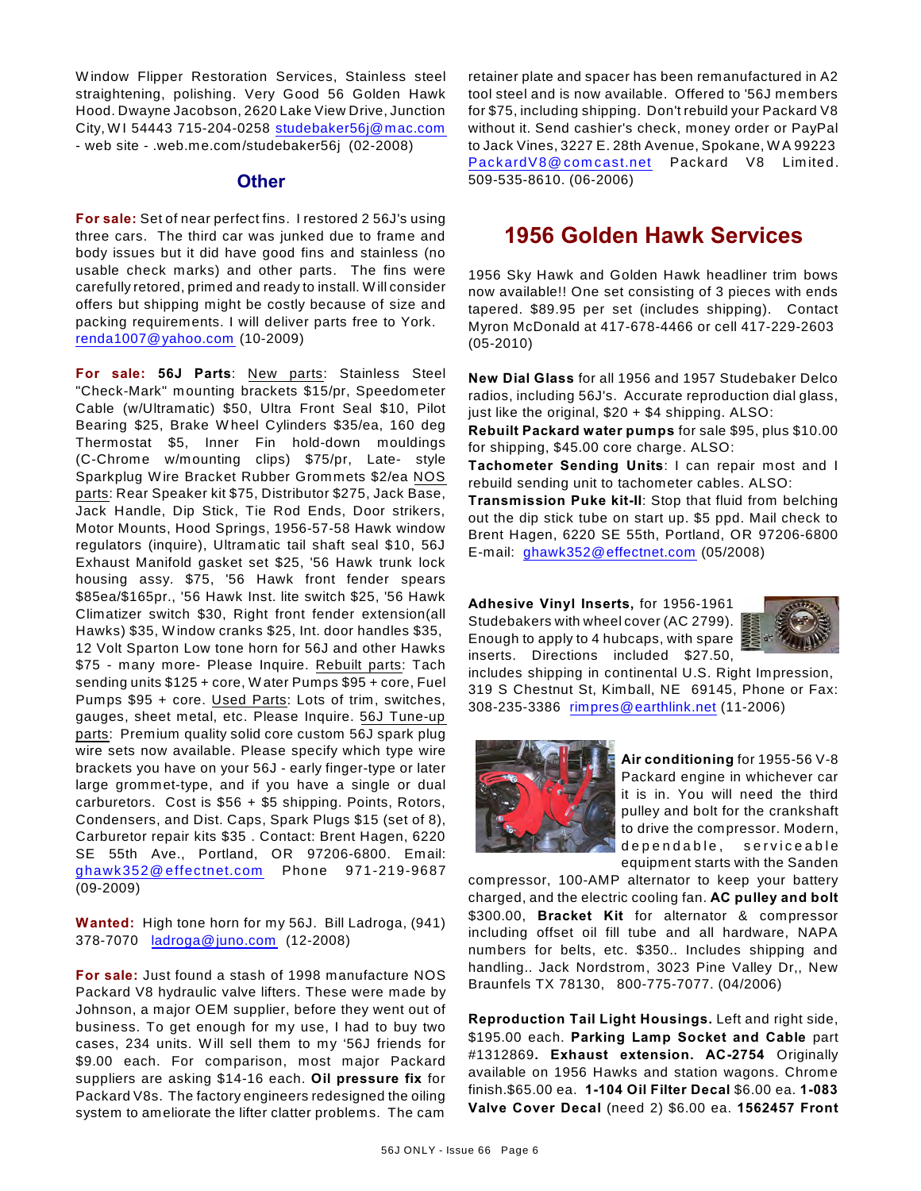W indow Flipper Restoration Services, Stainless steel straightening, polishing. Very Good 56 Golden Hawk Hood. Dwayne Jacobson, 2620 Lake View Drive, Junction City, W I 54443 715-204-0258 [studebaker56j@mac.com](mailto:studebaker56j@mac.com) - web site - .web.me.com/studebaker56j (02-2008)

### **Other**

**For sale:** Set of near perfect fins. I restored 2 56J's using three cars. The third car was junked due to frame and body issues but it did have good fins and stainless (no usable check marks) and other parts. The fins were carefully retored, primed and ready to install. W ill consider offers but shipping might be costly because of size and packing requirements. I will deliver parts free to York. [renda1007@yahoo.com](mailto:renda1007@yahoo.com) (10-2009)

**For sale: 56J Parts**: New parts: Stainless Steel "Check-Mark" mounting brackets \$15/pr, Speedometer Cable (w/Ultramatic) \$50, Ultra Front Seal \$10, Pilot Bearing \$25, Brake W heel Cylinders \$35/ea, 160 deg Thermostat \$5, Inner Fin hold-down mouldings (C-Chrome w/mounting clips) \$75/pr, Late- style Sparkplug W ire Bracket Rubber Grommets \$2/ea NOS parts: Rear Speaker kit \$75, Distributor \$275, Jack Base, Jack Handle, Dip Stick, Tie Rod Ends, Door strikers, Motor Mounts, Hood Springs, 1956-57-58 Hawk window regulators (inquire), Ultramatic tail shaft seal \$10, 56J Exhaust Manifold gasket set \$25, '56 Hawk trunk lock housing assy. \$75, '56 Hawk front fender spears \$85ea/\$165pr., '56 Hawk Inst. lite switch \$25, '56 Hawk Climatizer switch \$30, Right front fender extension(all Hawks) \$35, W indow cranks \$25, Int. door handles \$35, 12 Volt Sparton Low tone horn for 56J and other Hawks \$75 - many more- Please Inquire. Rebuilt parts: Tach sending units \$125 + core, W ater Pumps \$95 + core, Fuel Pumps \$95 + core. Used Parts: Lots of trim, switches, gauges, sheet metal, etc. Please Inquire. 56J Tune-up parts: Premium quality solid core custom 56J spark plug wire sets now available. Please specify which type wire brackets you have on your 56J - early finger-type or later large grommet-type, and if you have a single or dual carburetors. Cost is \$56 + \$5 shipping. Points, Rotors, Condensers, and Dist. Caps, Spark Plugs \$15 (set of 8), Carburetor repair kits \$35 . Contact: Brent Hagen, 6220 SE 55th Ave., Portland, OR 97206-6800. Email: [ghawk352@ effectnet.com](mailto:ghawk352@effectnet.com) Phone 971-219-9687 (09-2009)

**Wanted:** High tone horn for my 56J. Bill Ladroga, (941) 378-7070 [ladroga@juno.com](mailto:ladroga@juno.com) (12-2008)

**For sale:** Just found a stash of 1998 manufacture NOS Packard V8 hydraulic valve lifters. These were made by Johnson, a major OEM supplier, before they went out of business. To get enough for my use, I had to buy two cases, 234 units. W ill sell them to my '56J friends for \$9.00 each. For comparison, most major Packard suppliers are asking \$14-16 each. **Oil pressure fix** for Packard V8s. The factory engineers redesigned the oiling system to ameliorate the lifter clatter problems. The cam retainer plate and spacer has been remanufactured in A2 tool steel and is now available. Offered to '56J members for \$75, including shipping. Don't rebuild your Packard V8 without it. Send cashier's check, money order or PayPal to Jack Vines, 3227 E. 28th Avenue, Spokane, W A 99223 PackardV8@comcast.net Packard V8 Limited. 509-535-8610. (06-2006)

## **1956 Golden Hawk Services**

1956 Sky Hawk and Golden Hawk headliner trim bows now available!! One set consisting of 3 pieces with ends tapered. \$89.95 per set (includes shipping). Contact Myron McDonald at 417-678-4466 or cell 417-229-2603 (05-2010)

**New Dial Glass** for all 1956 and 1957 Studebaker Delco radios, including 56J's. Accurate reproduction dial glass, just like the original, \$20 + \$4 shipping. ALSO:

**Rebuilt Packard water pumps** for sale \$95, plus \$10.00 for shipping, \$45.00 core charge. ALSO:

**Tachometer Sending Units**: I can repair most and I rebuild sending unit to tachometer cables. ALSO:

**Transmission Puke kit-II**: Stop that fluid from belching out the dip stick tube on start up. \$5 ppd. Mail check to Brent Hagen, 6220 SE 55th, Portland, OR 97206-6800 E-mail: [ghawk352@effectnet.com](mailto:ghawk352@effectnet.com) (05/2008)

**Adhesive Vinyl Inserts,** for 1956-1961 Studebakers with wheel cover (AC 2799). Enough to apply to 4 hubcaps, with spare inserts. Directions included \$27.50,



includes shipping in continental U.S. Right Impression, 319 S Chestnut St, Kimball, NE 69145, Phone or Fax: 308-235-3386 [rimpres@earthlink.net](mailto:rimpres@earthlink.net) (11-2006)



**Air conditioning** for 1955-56 V-8 Packard engine in whichever car it is in. You will need the third pulley and bolt for the crankshaft to drive the compressor. Modern, dependable, serviceable equipment starts with the Sanden

compressor, 100-AMP alternator to keep your battery charged, and the electric cooling fan. **AC pulley and bolt** \$300.00, **Bracket Kit** for alternator & compressor including offset oil fill tube and all hardware, NAPA numbers for belts, etc. \$350.. Includes shipping and handling.. Jack Nordstrom, 3023 Pine Valley Dr,, New Braunfels TX 78130, 800-775-7077. (04/2006)

**Reproduction Tail Light Housings.** Left and right side, \$195.00 each. **Parking Lamp Socket and Cable** part #1312869**. Exhaust extension. AC-2754** Originally available on 1956 Hawks and station wagons. Chrome finish.\$65.00 ea. **1-104 Oil Filter Decal** \$6.00 ea. **1-083 Valve Cover Decal** (need 2) \$6.00 ea. **1562457 Front**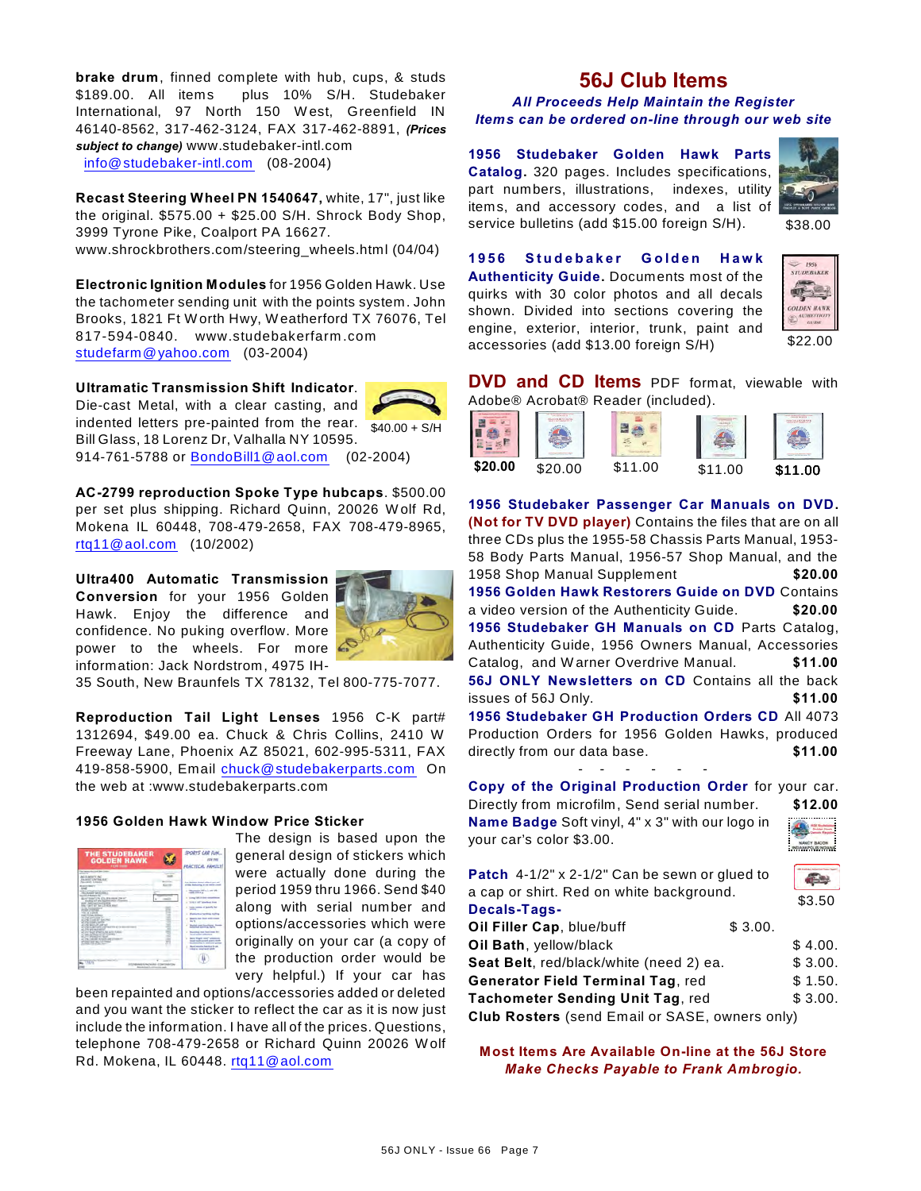**brake drum**, finned complete with hub, cups, & studs \$189.00. All items plus 10% S/H. Studebaker International, 97 North 150 W est, Greenfield IN 46140-8562, 317-462-3124, FAX 317-462-8891, *(Prices subject to change)* www.studebaker-intl.com [info@studebaker-intl.com](mailto:info@studebaker-intl.com) (08-2004)

**Recast Steering Wheel PN 1540647,** white, 17", just like the original. \$575.00 + \$25.00 S/H. Shrock Body Shop, 3999 Tyrone Pike, Coalport PA 16627. www.shrockbrothers.com/steering\_wheels.html (04/04)

**Electronic Ignition Modules** for 1956 Golden Hawk. Use the tachometer sending unit with the points system. John Brooks, 1821 Ft W orth Hwy, W eatherford TX 76076, Tel 817-594-0840. www.studebakerfarm .com [studefarm@yahoo.com](mailto:studefarm@yahoo.com) (03-2004)

**Ultramatic Transmission Shift Indicator**.

indented letters pre-painted from the rear.  $\frac{1}{40.00 + S/H}$ Die-cast Metal, with a clear casting, and Bill Glass, 18 Lorenz Dr, Valhalla NY 10595. 914-761-5788 or [BondoBill1@aol.com](mailto:BondoBill1@aol.com) (02-2004)

**AC-2799 reproduction Spoke Type hubcaps**. \$500.00 per set plus shipping. Richard Quinn, 20026 W olf Rd, Mokena IL 60448, 708-479-2658, FAX 708-479-8965,

**Ultra400 Automatic Transmission Conversion** for your 1956 Golden Hawk. Enjoy the difference and confidence. No puking overflow. More power to the wheels. For more information: Jack Nordstrom, 4975 IH-

[rtq11@aol.com](mailto:rtq11@aol.com) (10/2002)



35 South, New Braunfels TX 78132, Tel 800-775-7077.

**Reproduction Tail Light Lenses** 1956 C-K part# 1312694, \$49.00 ea. Chuck & Chris Collins, 2410 W Freeway Lane, Phoenix AZ 85021, 602-995-5311, FAX 419-858-5900, Email [chuck@studebakerparts.com](mailto:chuck@studebakerparts.com) On the web at :www.studebakerparts.com

### **1956 Golden Hawk Window Price Sticker**

| <b>THE STUDEBAKER</b><br><b>GOLDEN HAWK</b><br><b>FOR HIM</b>                                                                                                                                                                                                                                                                                                                                                                                                                                                                                                                                                                                                                                                                                                                                                                                                                                                                                                                          | SPORTS CAR FUN<br>PRACTICAL KAMILI                                                                                                                                                                                                                                                                                                                                                                                                                                                                                                                                                                                                                  |
|----------------------------------------------------------------------------------------------------------------------------------------------------------------------------------------------------------------------------------------------------------------------------------------------------------------------------------------------------------------------------------------------------------------------------------------------------------------------------------------------------------------------------------------------------------------------------------------------------------------------------------------------------------------------------------------------------------------------------------------------------------------------------------------------------------------------------------------------------------------------------------------------------------------------------------------------------------------------------------------|-----------------------------------------------------------------------------------------------------------------------------------------------------------------------------------------------------------------------------------------------------------------------------------------------------------------------------------------------------------------------------------------------------------------------------------------------------------------------------------------------------------------------------------------------------------------------------------------------------------------------------------------------------|
| <b>December And And And Trees</b><br>--<br><b>AGIS ABUSE AG</b><br>FALMING LENTING, BUT<br>SLASS EDGE<br><b>Business Manager</b><br>--<br>actions at head has that manufacture as associations.<br>The alternative and the same of<br>monthly in dealership for<br>\$1.673 kp/12% (ES, 2% room 236 of<br>booking \$25 are leagueing than Freezooth<br>active Junction and an active<br>time 1 pell All has a 2-4 per peace<br>÷<br>a day businessment<br>٠<br><b>Profit contract</b><br>THE R. P. LEWIS<br>٠<br>AND FURNIT STRAIG<br>an other man at this fair.<br>all the Trade of Carmer<br>and a state control<br>٠<br><b>ALCOHOL: MAIN LIFE LANF VALL</b><br>all credit C. Applicates as managements aim to a<br>۰<br>all 27th and capitals at<br>٠<br>all since boost affordity and point it since<br>all costs and though art and concentra-<br>at 211 Warnette Character<br>at 17th century in this to enter of these art<br>attained and the Common<br>which the first process | <b>This Assessed Monach collect contrast</b><br>of the following at 14 month of<br>a company of the contracts<br><b>COLORADO</b><br>come 196.0-limit-see<br><b>STOR &amp; LIST Subscribers Store</b><br>Law better of leasting by<br><b>Rodington Section Public</b><br><b>Startin has Sout with a</b><br>٠<br>$-7$<br><b>Restort cars from New</b><br>Astronomed Automotive Section<br><b>Recording them that home for-</b><br>٠<br>lated parket antiumum<br>have direct your substantial<br><b>State and contact a later with</b><br><b><i><u>Schmidt &amp; Holland and </u></i></b><br>North American Septima 24 per<br>solid as send out aboli- |
| <b>REARES FACILITIES</b>                                                                                                                                                                                                                                                                                                                                                                                                                                                                                                                                                                                                                                                                                                                                                                                                                                                                                                                                                               |                                                                                                                                                                                                                                                                                                                                                                                                                                                                                                                                                                                                                                                     |

The design is based upon the general design of stickers which were actually done during the period 1959 thru 1966. Send \$40 along with serial number and options/accessories which were originally on your car (a copy of the production order would be very helpful.) If your car has

been repainted and options/accessories added or deleted and you want the sticker to reflect the car as it is now just include the information. I have all of the prices. Questions, telephone 708-479-2658 or Richard Quinn 20026 W olf Rd. Mokena, IL 60448. [rtq11@aol.com](mailto:rtq11@aol.com)

## **56J Club Items**

*All Proceeds Help Maintain the Register Items can be ordered on-line through our web site*

**1956 Studebaker Golden Hawk Parts Catalog.** 320 pages. Includes specifications, part numbers, illustrations, indexes, utility items, and accessory codes, and a list of service bulletins (add \$15.00 foreign S/H).



\$38.00

**1 9 5 6 S t u d e b a k e r G o l d e n H a w k Authenticity Guide.** Documents most of the quirks with 30 color photos and all decals shown. Divided into sections covering the engine, exterior, interior, trunk, paint and accessories (add \$13.00 foreign S/H)



**DVD and CD Items** PDF format, viewable with



**1956 Studebaker Passenger Car Manuals on DVD. (Not for TV DVD player)** Contains the files that are on all three CDs plus the 1955-58 Chassis Parts Manual, 1953- 58 Body Parts Manual, 1956-57 Shop Manual, and the 1958 Shop Manual Supplement **\$20.00 1956 Golden Hawk Restorers Guide on DVD** Contains a video version of the Authenticity Guide. **\$20.00 1956 Studebaker GH Manuals on CD** Parts Catalog, Authenticity Guide, 1956 Owners Manual, Accessories Catalog, and W arner Overdrive Manual. **\$11.00 56J ONLY Newsletters on CD** Contains all the back issues of 56J Only. **\$11.00 1956 Studebaker GH Production Orders CD** All 4073 Production Orders for 1956 Golden Hawks, produced directly from our data base. **\$11.00** 

**Copy of the Original Production Order** for your car. Directly from microfilm, Send serial number. **\$12.00 Name Badge** Soft vinyl, 4" x 3" with our logo in your car's color \$3.00.

- - - - - -



| Patch 4-1/2" x 2-1/2" Can be sewn or glued to            |         |         |  |  |
|----------------------------------------------------------|---------|---------|--|--|
| a cap or shirt. Red on white background.<br>Decals-Tags- |         |         |  |  |
| Oil Filler Cap, blue/buff                                | \$3.00. |         |  |  |
| Oil Bath, yellow/black                                   |         | \$4.00. |  |  |
| Seat Belt, red/black/white (need 2) ea.                  |         | \$3.00. |  |  |
| <b>Generator Field Terminal Tag, red</b>                 |         | \$1.50. |  |  |
| Tachometer Sending Unit Tag, red                         |         | \$3.00. |  |  |
| Club Rosters (send Email or SASE, owners only)           |         |         |  |  |

**Most Items Are Available On-line at the 56J Store** *Make Checks Payable to Frank Ambrogio.*